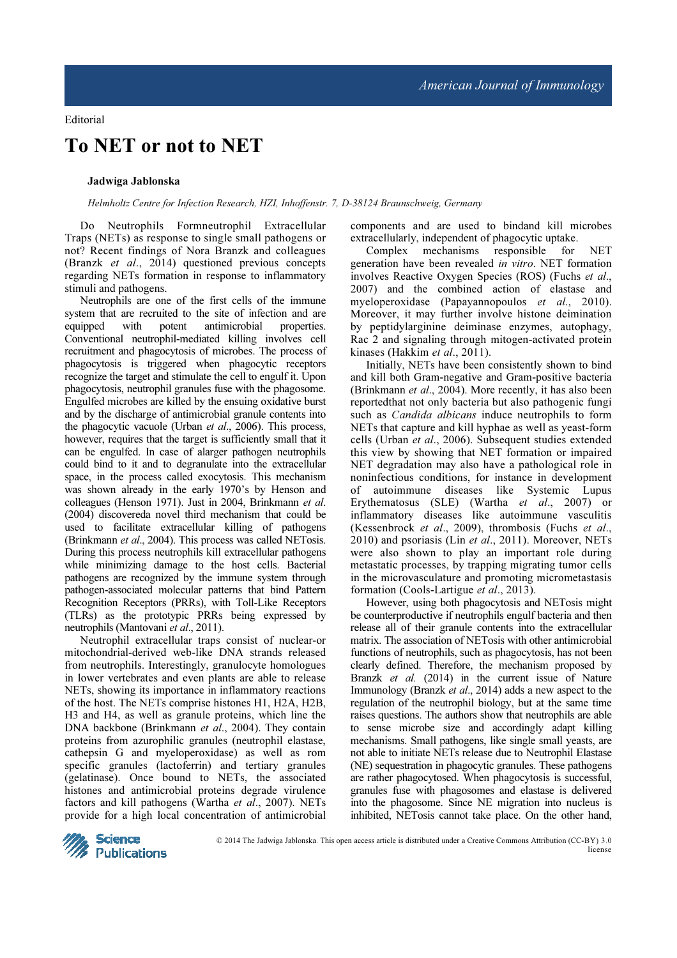## To NET or not to NET

## Jadwiga Jablonska

Helmholtz Centre for Infection Research, HZI, Inhoffenstr. 7, D-38124 Braunschweig, Germany

Do Neutrophils Formneutrophil Extracellular Traps (NETs) as response to single small pathogens or not? Recent findings of Nora Branzk and colleagues (Branzk et al., 2014) questioned previous concepts regarding NETs formation in response to inflammatory stimuli and pathogens.

Neutrophils are one of the first cells of the immune system that are recruited to the site of infection and are equipped with potent antimicrobial properties. equipped with potent antimicrobial Conventional neutrophil-mediated killing involves cell recruitment and phagocytosis of microbes. The process of phagocytosis is triggered when phagocytic receptors recognize the target and stimulate the cell to engulf it. Upon phagocytosis, neutrophil granules fuse with the phagosome. Engulfed microbes are killed by the ensuing oxidative burst and by the discharge of antimicrobial granule contents into the phagocytic vacuole (Urban et al., 2006). This process, however, requires that the target is sufficiently small that it can be engulfed. In case of alarger pathogen neutrophils could bind to it and to degranulate into the extracellular space, in the process called exocytosis. This mechanism was shown already in the early 1970's by Henson and colleagues (Henson 1971). Just in 2004, Brinkmann et al. (2004) discovereda novel third mechanism that could be used to facilitate extracellular killing of pathogens (Brinkmann et al., 2004). This process was called NETosis. During this process neutrophils kill extracellular pathogens while minimizing damage to the host cells. Bacterial pathogens are recognized by the immune system through pathogen-associated molecular patterns that bind Pattern Recognition Receptors (PRRs), with Toll-Like Receptors (TLRs) as the prototypic PRRs being expressed by neutrophils (Mantovani et al., 2011).

Neutrophil extracellular traps consist of nuclear-or mitochondrial-derived web-like DNA strands released from neutrophils. Interestingly, granulocyte homologues in lower vertebrates and even plants are able to release NETs, showing its importance in inflammatory reactions of the host. The NETs comprise histones H1, H2A, H2B, H3 and H4, as well as granule proteins, which line the DNA backbone (Brinkmann et al., 2004). They contain proteins from azurophilic granules (neutrophil elastase, cathepsin G and myeloperoxidase) as well as rom specific granules (lactoferrin) and tertiary granules (gelatinase). Once bound to NETs, the associated histones and antimicrobial proteins degrade virulence factors and kill pathogens (Wartha et al., 2007). NETs provide for a high local concentration of antimicrobial

components and are used to bindand kill microbes extracellularly, independent of phagocytic uptake.

Complex mechanisms responsible for NET generation have been revealed in vitro. NET formation involves Reactive Oxygen Species (ROS) (Fuchs et al., 2007) and the combined action of elastase and myeloperoxidase (Papayannopoulos et al., 2010). Moreover, it may further involve histone deimination by peptidylarginine deiminase enzymes, autophagy, Rac 2 and signaling through mitogen-activated protein kinases (Hakkim et al., 2011).

Initially, NETs have been consistently shown to bind and kill both Gram-negative and Gram-positive bacteria (Brinkmann et al., 2004). More recently, it has also been reportedthat not only bacteria but also pathogenic fungi such as *Candida albicans* induce neutrophils to form NETs that capture and kill hyphae as well as yeast-form cells (Urban et al., 2006). Subsequent studies extended this view by showing that NET formation or impaired NET degradation may also have a pathological role in noninfectious conditions, for instance in development of autoimmune diseases like Systemic Lupus Erythematosus (SLE) (Wartha et al., 2007) or inflammatory diseases like autoimmune vasculitis (Kessenbrock et al., 2009), thrombosis (Fuchs et al., 2010) and psoriasis (Lin et al., 2011). Moreover, NETs were also shown to play an important role during metastatic processes, by trapping migrating tumor cells in the microvasculature and promoting micrometastasis formation (Cools-Lartigue et al., 2013).

However, using both phagocytosis and NETosis might be counterproductive if neutrophils engulf bacteria and then release all of their granule contents into the extracellular matrix. The association of NETosis with other antimicrobial functions of neutrophils, such as phagocytosis, has not been clearly defined. Therefore, the mechanism proposed by Branzk et al. (2014) in the current issue of Nature Immunology (Branzk et al., 2014) adds a new aspect to the regulation of the neutrophil biology, but at the same time raises questions. The authors show that neutrophils are able to sense microbe size and accordingly adapt killing mechanisms. Small pathogens, like single small yeasts, are not able to initiate NETs release due to Neutrophil Elastase (NE) sequestration in phagocytic granules. These pathogens are rather phagocytosed. When phagocytosis is successful, granules fuse with phagosomes and elastase is delivered into the phagosome. Since NE migration into nucleus is inhibited, NETosis cannot take place. On the other hand,



© 2014 The Jadwiga Jablonska. This open access article is distributed under a Creative Commons Attribution (CC-BY) 3.0 license